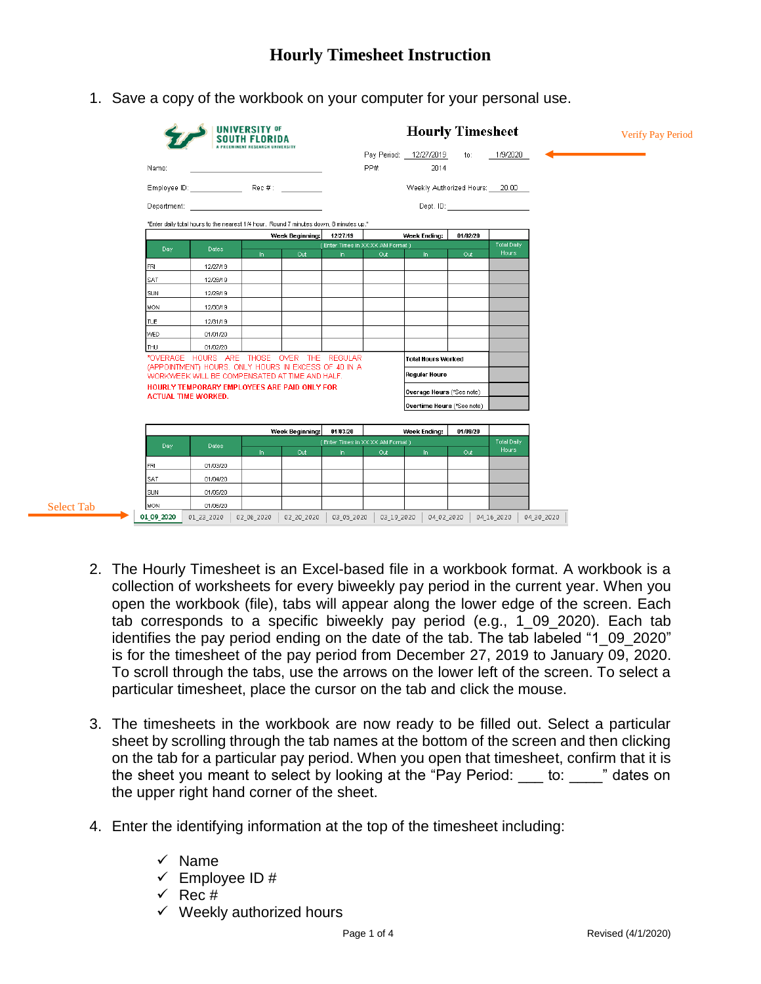1. Save a copy of the workbook on your computer for your personal use.

|                            |                                                                                                                                                                                                                                | <b>UNIVERSITY OF</b><br>SOUTH FLORIDA |                 |                                      |                                  | <b>Hourly Timesheet</b><br>Pay Period: 12/27/2019 | to:      | 1/9/2020           | <b>Verify Pay Period</b> |
|----------------------------|--------------------------------------------------------------------------------------------------------------------------------------------------------------------------------------------------------------------------------|---------------------------------------|-----------------|--------------------------------------|----------------------------------|---------------------------------------------------|----------|--------------------|--------------------------|
| Name:                      |                                                                                                                                                                                                                                |                                       |                 |                                      | PP#                              | 2014                                              |          |                    |                          |
|                            |                                                                                                                                                                                                                                |                                       |                 |                                      |                                  |                                                   |          |                    |                          |
|                            | Department: the contract of the contract of the contract of the contract of the contract of the contract of the contract of the contract of the contract of the contract of the contract of the contract of the contract of th |                                       |                 |                                      |                                  |                                                   |          |                    |                          |
|                            |                                                                                                                                                                                                                                |                                       |                 |                                      |                                  |                                                   |          |                    |                          |
|                            | "Enter daily total hours to the nearest 1/4 hour. Round 7 minutes down, 8 minutes up."<br>Week Beginning:                                                                                                                      |                                       |                 | 12/27/19<br>Week Ending:<br>01/02/20 |                                  |                                                   |          |                    |                          |
| Day                        | <b>Dates</b>                                                                                                                                                                                                                   |                                       |                 |                                      | (Enter Times in XX:XX AM Format) |                                                   |          | <b>Total Daily</b> |                          |
|                            |                                                                                                                                                                                                                                | In                                    | Out             | In.                                  | Out                              | In                                                | Out      | Hours              |                          |
| FRI                        | 12/27/19                                                                                                                                                                                                                       |                                       |                 |                                      |                                  |                                                   |          |                    |                          |
| <b>SAT</b>                 | 12/28/19                                                                                                                                                                                                                       |                                       |                 |                                      |                                  |                                                   |          |                    |                          |
| SUN                        | 12/29/19                                                                                                                                                                                                                       |                                       |                 |                                      |                                  |                                                   |          |                    |                          |
| MON                        | 12/30/19                                                                                                                                                                                                                       |                                       |                 |                                      |                                  |                                                   |          |                    |                          |
| TUE                        | 12/31/19                                                                                                                                                                                                                       |                                       |                 |                                      |                                  |                                                   |          |                    |                          |
| <b>WED</b>                 | 01/01/20                                                                                                                                                                                                                       |                                       |                 |                                      |                                  |                                                   |          |                    |                          |
| THU                        | 01/02/20                                                                                                                                                                                                                       |                                       |                 |                                      |                                  |                                                   |          |                    |                          |
|                            |                                                                                                                                                                                                                                |                                       |                 |                                      |                                  |                                                   |          |                    |                          |
|                            | *OVERAGE HOURS ARE THOSE OVER THE REGULAR                                                                                                                                                                                      |                                       |                 |                                      |                                  | Total Hours Worked                                |          |                    |                          |
|                            | (APPOINTMENT) HOURS. ONLY HOURS IN EXCESS OF 40 IN A<br>WORKWEEK WILL BE COMPENSATED AT TIME AND HALF.                                                                                                                         |                                       |                 |                                      |                                  | <b>Regular Hours</b>                              |          |                    |                          |
|                            | HOURLY TEMPORARY EMPLOYEES ARE PAID ONLY FOR                                                                                                                                                                                   |                                       |                 |                                      |                                  |                                                   |          |                    |                          |
| <b>ACTUAL TIME WORKED.</b> |                                                                                                                                                                                                                                |                                       |                 |                                      |                                  | Overage Hours (*See note)                         |          |                    |                          |
|                            |                                                                                                                                                                                                                                |                                       |                 |                                      |                                  | Overtime Hours (*See note)                        |          |                    |                          |
|                            |                                                                                                                                                                                                                                |                                       | Week Beginning: | 01/03/20                             |                                  | Week Ending:                                      | 01/09/20 |                    |                          |
|                            |                                                                                                                                                                                                                                |                                       |                 |                                      | (Enter Times in XX:XX AM Format) |                                                   |          | <b>Total Daily</b> |                          |
| Day.                       | Dates                                                                                                                                                                                                                          | In.                                   | Out             | In.                                  | Out                              | In.                                               | Out      | <b>Hours</b>       |                          |
| FRI                        | 01/03/20                                                                                                                                                                                                                       |                                       |                 |                                      |                                  |                                                   |          |                    |                          |
| <b>SAT</b>                 | 01/04/20                                                                                                                                                                                                                       |                                       |                 |                                      |                                  |                                                   |          |                    |                          |
| SUN                        | 01/05/20                                                                                                                                                                                                                       |                                       |                 |                                      |                                  |                                                   |          |                    |                          |
| MON                        | 01/06/20                                                                                                                                                                                                                       |                                       |                 |                                      |                                  |                                                   |          |                    |                          |

- 2. The Hourly Timesheet is an Excel-based file in a workbook format. A workbook is a collection of worksheets for every biweekly pay period in the current year. When you open the workbook (file), tabs will appear along the lower edge of the screen. Each tab corresponds to a specific biweekly pay period (e.g., 1\_09\_2020). Each tab identifies the pay period ending on the date of the tab. The tab labeled "1\_09\_2020" is for the timesheet of the pay period from December 27, 2019 to January 09, 2020. To scroll through the tabs, use the arrows on the lower left of the screen. To select a particular timesheet, place the cursor on the tab and click the mouse.
- 3. The timesheets in the workbook are now ready to be filled out. Select a particular sheet by scrolling through the tab names at the bottom of the screen and then clicking on the tab for a particular pay period. When you open that timesheet, confirm that it is the sheet you meant to select by looking at the "Pay Period: to: " dates on the upper right hand corner of the sheet.
- 4. Enter the identifying information at the top of the timesheet including:
	- $\checkmark$  Name

Select Tab

- $\checkmark$  Employee ID #
- $\checkmark$  Rec #
- $\checkmark$  Weekly authorized hours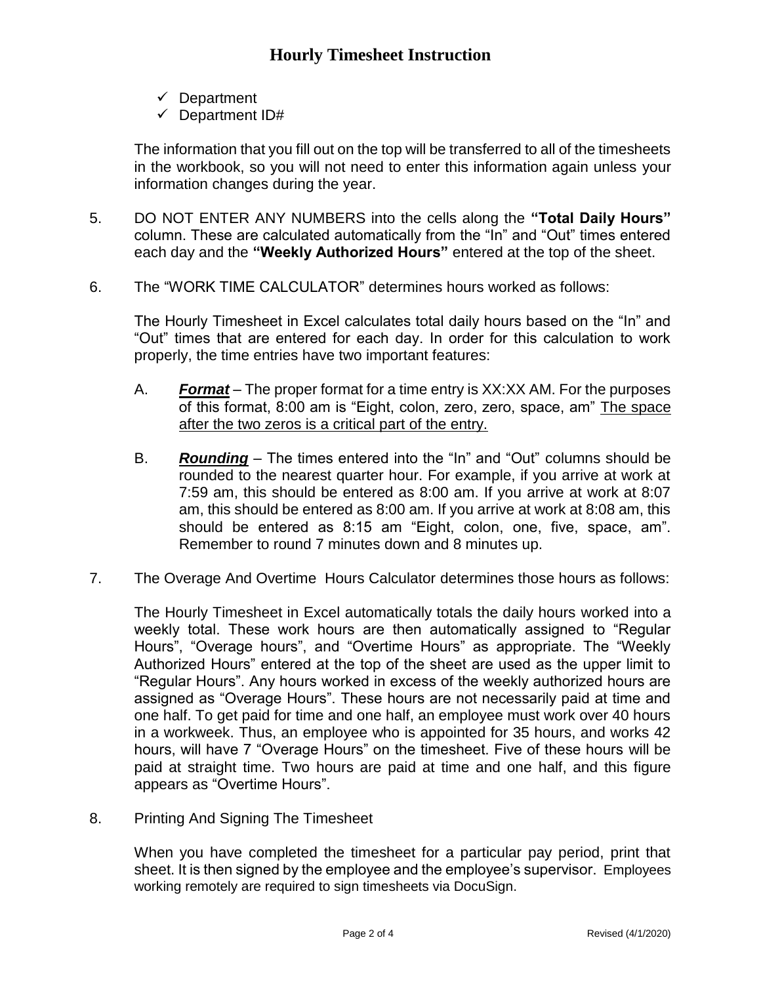- $\checkmark$  Department
- $\checkmark$  Department ID#

The information that you fill out on the top will be transferred to all of the timesheets in the workbook, so you will not need to enter this information again unless your information changes during the year.

- 5. DO NOT ENTER ANY NUMBERS into the cells along the **"Total Daily Hours"** column. These are calculated automatically from the "In" and "Out" times entered each day and the **"Weekly Authorized Hours"** entered at the top of the sheet.
- 6. The "WORK TIME CALCULATOR" determines hours worked as follows:

The Hourly Timesheet in Excel calculates total daily hours based on the "In" and "Out" times that are entered for each day. In order for this calculation to work properly, the time entries have two important features:

- A. *Format* The proper format for a time entry is XX:XX AM. For the purposes of this format, 8:00 am is "Eight, colon, zero, zero, space, am" The space after the two zeros is a critical part of the entry.
- B. *Rounding* The times entered into the "In" and "Out" columns should be rounded to the nearest quarter hour. For example, if you arrive at work at 7:59 am, this should be entered as 8:00 am. If you arrive at work at 8:07 am, this should be entered as 8:00 am. If you arrive at work at 8:08 am, this should be entered as 8:15 am "Eight, colon, one, five, space, am". Remember to round 7 minutes down and 8 minutes up.
- 7. The Overage And Overtime Hours Calculator determines those hours as follows:

The Hourly Timesheet in Excel automatically totals the daily hours worked into a weekly total. These work hours are then automatically assigned to "Regular Hours", "Overage hours", and "Overtime Hours" as appropriate. The "Weekly Authorized Hours" entered at the top of the sheet are used as the upper limit to "Regular Hours". Any hours worked in excess of the weekly authorized hours are assigned as "Overage Hours". These hours are not necessarily paid at time and one half. To get paid for time and one half, an employee must work over 40 hours in a workweek. Thus, an employee who is appointed for 35 hours, and works 42 hours, will have 7 "Overage Hours" on the timesheet. Five of these hours will be paid at straight time. Two hours are paid at time and one half, and this figure appears as "Overtime Hours".

8. Printing And Signing The Timesheet

When you have completed the timesheet for a particular pay period, print that sheet. It is then signed by the employee and the employee's supervisor. Employees working remotely are required to sign timesheets via DocuSign.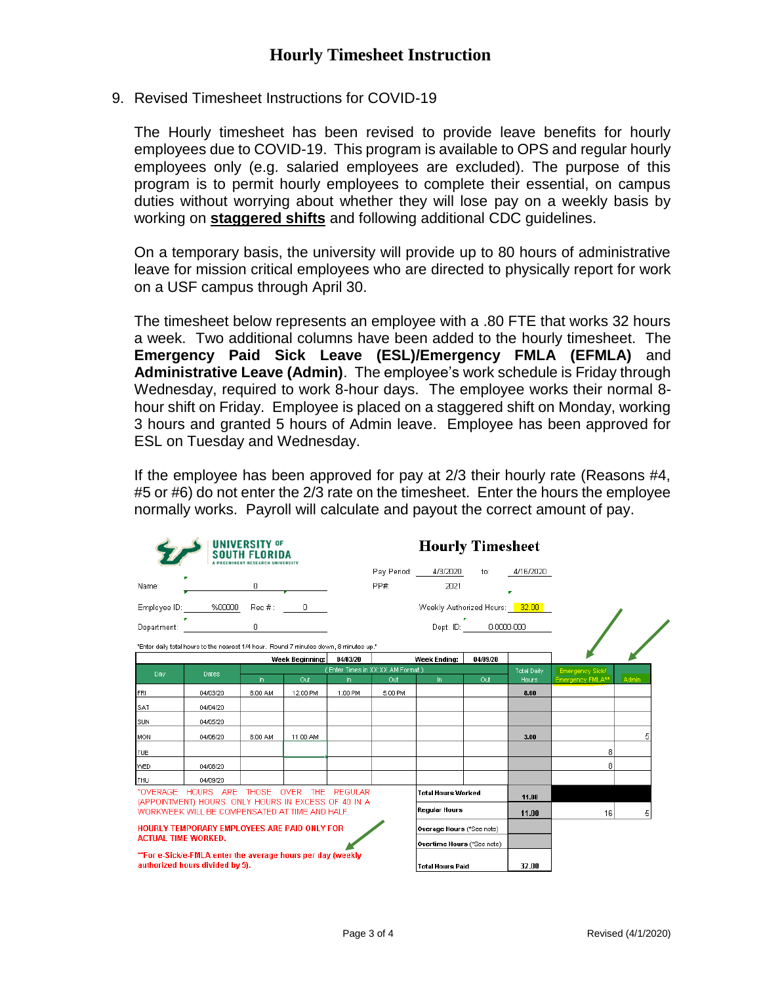9. Revised Timesheet Instructions for COVID-19

The Hourly timesheet has been revised to provide leave benefits for hourly employees due to COVID-19. This program is available to OPS and regular hourly employees only (e.g. salaried employees are excluded). The purpose of this program is to permit hourly employees to complete their essential, on campus duties without worrying about whether they will lose pay on a weekly basis by working on **staggered shifts** and following additional CDC guidelines.

On a temporary basis, the university will provide up to 80 hours of administrative leave for mission critical employees who are directed to physically report for work on a USF campus through April 30.

The timesheet below represents an employee with a .80 FTE that works 32 hours a week. Two additional columns have been added to the hourly timesheet. The **Emergency Paid Sick Leave (ESL)/Emergency FMLA (EFMLA)** and **Administrative Leave (Admin)**. The employee's work schedule is Friday through Wednesday, required to work 8-hour days. The employee works their normal 8 hour shift on Friday. Employee is placed on a staggered shift on Monday, working 3 hours and granted 5 hours of Admin leave. Employee has been approved for ESL on Tuesday and Wednesday.

If the employee has been approved for pay at 2/3 their hourly rate (Reasons #4, #5 or #6) do not enter the 2/3 rate on the timesheet. Enter the hours the employee normally works. Payroll will calculate and payout the correct amount of pay.

|                                                                                                        | <b>UNIVERSITY OF</b><br><b>SOUTH FLORIDA</b>                                                   | <b>Hourly Timesheet</b> |                 |                                  |                         |                               |          |                    |                        |              |  |
|--------------------------------------------------------------------------------------------------------|------------------------------------------------------------------------------------------------|-------------------------|-----------------|----------------------------------|-------------------------|-------------------------------|----------|--------------------|------------------------|--------------|--|
|                                                                                                        |                                                                                                |                         |                 |                                  |                         | Pay Period: 4/3/2020 to:      |          | 4/16/2020          |                        |              |  |
| Name:                                                                                                  |                                                                                                | 0                       |                 |                                  | PP#                     | 2021                          |          |                    |                        |              |  |
|                                                                                                        | Employee ID: ______ %00000___ Rec #: _____ 0_____                                              |                         |                 | Weekly Authorized Hours: 32.00   |                         |                               |          |                    |                        |              |  |
| Department:                                                                                            | ×.<br>$\overline{a}$ and $\overline{a}$ and $\overline{a}$                                     |                         |                 | Dept. ID: 0-0000-000             |                         |                               |          |                    |                        |              |  |
|                                                                                                        | "Enter daily total hours to the nearest 1/4 hour. Round 7 minutes down, 8 minutes up."         |                         |                 |                                  |                         |                               |          |                    |                        |              |  |
|                                                                                                        |                                                                                                |                         | Week Beginning: | 04/03/20                         |                         | Week Ending:                  | 04/09/20 |                    |                        |              |  |
| Day                                                                                                    | <b>Dates</b>                                                                                   | $\ln$                   | Out.            | (Enter Times in XX:XX AM Format) | Out                     |                               | Out      | <b>Total Daily</b> | <b>Emergency Sick/</b> |              |  |
| FRI                                                                                                    | 04/03/20                                                                                       | 8:00 AM                 | 12:00 PM        | $\ln$<br>1:00 PM                 | 5:00 PM                 | In                            |          | Hours<br>8.00      | Emergency FMLA**       | <b>Admin</b> |  |
| <b>SAT</b>                                                                                             | 04/04/20                                                                                       |                         |                 |                                  |                         |                               |          |                    |                        |              |  |
| <b>SUN</b>                                                                                             | 04/05/20                                                                                       |                         |                 |                                  |                         |                               |          |                    |                        |              |  |
| MON                                                                                                    | 04/06/20                                                                                       | 8:00 AM                 | 11:00 AM        |                                  |                         |                               |          | 3.00               |                        |              |  |
| <b>ITUE</b>                                                                                            |                                                                                                |                         |                 |                                  |                         |                               |          |                    | 8                      |              |  |
| WED.                                                                                                   | 04/08/20                                                                                       |                         |                 |                                  |                         |                               |          |                    | 8                      |              |  |
| THU                                                                                                    | 04/09/20                                                                                       |                         |                 |                                  |                         |                               |          |                    |                        |              |  |
|                                                                                                        | *OVERAGE HOURS ARE THOSE OVER THE REGULAR                                                      |                         |                 |                                  |                         | <b>Total Hours Worked</b>     |          | 11.00              |                        |              |  |
| (APPOINTMENT) HOURS. ONLY HOURS IN EXCESS OF 40 IN A<br>WORKWEEK WILL BE COMPENSATED AT TIME AND HALF. |                                                                                                |                         |                 |                                  |                         | <b>Regular Hours</b><br>11.00 |          |                    | 16                     | 5            |  |
| HOURLY TEMPORARY EMPLOYEES ARE PAID ONLY FOR<br><b>ACTUAL TIME WORKED.</b>                             |                                                                                                |                         |                 |                                  |                         | Overage Hours (*See note)     |          |                    |                        |              |  |
|                                                                                                        |                                                                                                |                         |                 |                                  |                         | Overtime Hours (*See note)    |          |                    |                        |              |  |
|                                                                                                        | **For e-Sick/e-FMLA enter the average hours per day (weekly<br>authorized hours divided by 5). |                         |                 |                                  | <b>Total Hours Paid</b> |                               | 32.00    |                    |                        |              |  |